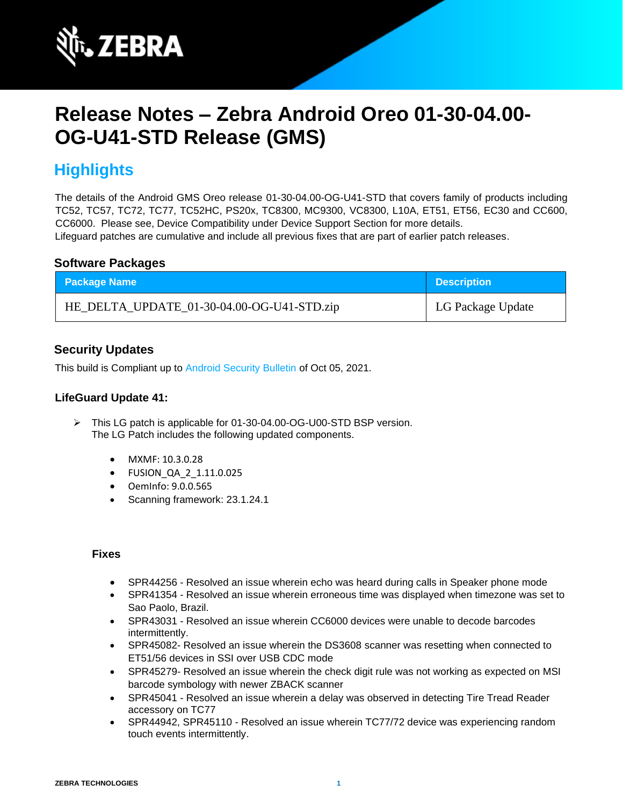

# **Release Notes – Zebra Android Oreo 01-30-04.00- OG-U41-STD Release (GMS)**

# **Highlights**

The details of the Android GMS Oreo release 01-30-04.00-OG-U41-STD that covers family of products including TC52, TC57, TC72, TC77, TC52HC, PS20x, TC8300, MC9300, VC8300, L10A, ET51, ET56, EC30 and CC600, CC6000. Please see, Device Compatibility under Device Support Section for more details. Lifeguard patches are cumulative and include all previous fixes that are part of earlier patch releases.

### **Software Packages**

| <b>Package Name</b>                        | <b>Description</b> |
|--------------------------------------------|--------------------|
| HE_DELTA_UPDATE_01-30-04.00-OG-U41-STD.zip | LG Package Update  |

### **Security Updates**

This build is Compliant up to [Android Security Bulletin](https://source.android.com/security/bulletin/) of Oct 05, 2021.

#### **LifeGuard Update 41:**

- ➢ This LG patch is applicable for 01-30-04.00-OG-U00-STD BSP version. The LG Patch includes the following updated components.
	- MXMF: 10.3.0.28
	- FUSION\_QA\_2\_1.11.0.025
	- OemInfo: 9.0.0.565
	- Scanning framework: 23.1.24.1

- SPR44256 Resolved an issue wherein echo was heard during calls in Speaker phone mode
- SPR41354 Resolved an issue wherein erroneous time was displayed when timezone was set to Sao Paolo, Brazil.
- SPR43031 Resolved an issue wherein CC6000 devices were unable to decode barcodes intermittently.
- SPR45082- Resolved an issue wherein the DS3608 scanner was resetting when connected to ET51/56 devices in SSI over USB CDC mode
- SPR45279- Resolved an issue wherein the check digit rule was not working as expected on MSI barcode symbology with newer ZBACK scanner
- SPR45041 Resolved an issue wherein a delay was observed in detecting Tire Tread Reader accessory on TC77
- SPR44942, SPR45110 Resolved an issue wherein TC77/72 device was experiencing random touch events intermittently.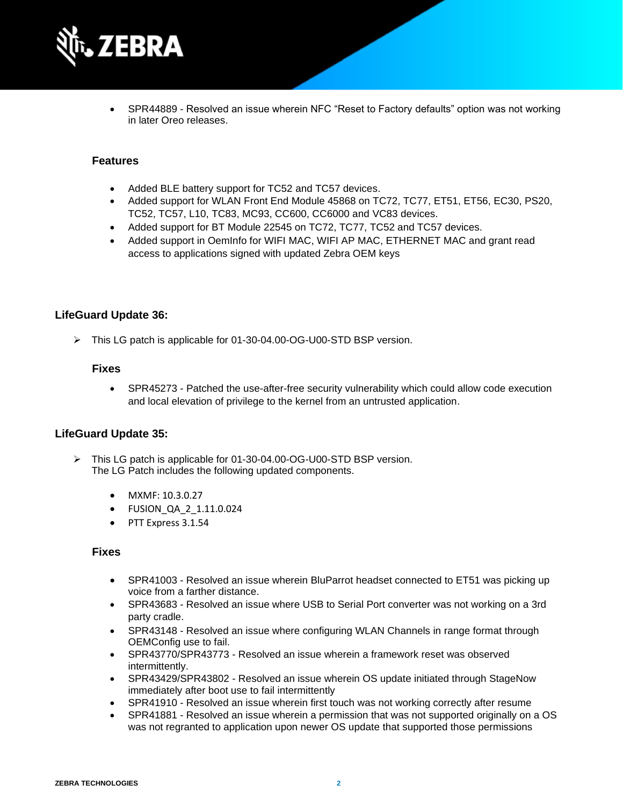

• SPR44889 - Resolved an issue wherein NFC "Reset to Factory defaults" option was not working in later Oreo releases.

#### **Features**

- Added BLE battery support for TC52 and TC57 devices.
- Added support for WLAN Front End Module 45868 on TC72, TC77, ET51, ET56, EC30, PS20, TC52, TC57, L10, TC83, MC93, CC600, CC6000 and VC83 devices.
- Added support for BT Module 22545 on TC72, TC77, TC52 and TC57 devices.
- Added support in OemInfo for WIFI MAC, WIFI AP MAC, ETHERNET MAC and grant read access to applications signed with updated Zebra OEM keys

#### **LifeGuard Update 36:**

➢ This LG patch is applicable for 01-30-04.00-OG-U00-STD BSP version.

#### **Fixes**

• SPR45273 - Patched the use-after-free security vulnerability which could allow code execution and local elevation of privilege to the kernel from an untrusted application.

#### **LifeGuard Update 35:**

- ➢ This LG patch is applicable for 01-30-04.00-OG-U00-STD BSP version. The LG Patch includes the following updated components.
	- MXMF: 10.3.0.27
	- FUSION\_QA\_2\_1.11.0.024
	- PTT Express 3.1.54

- SPR41003 Resolved an issue wherein BluParrot headset connected to ET51 was picking up voice from a farther distance.
- SPR43683 Resolved an issue where USB to Serial Port converter was not working on a 3rd party cradle.
- SPR43148 Resolved an issue where configuring WLAN Channels in range format through OEMConfig use to fail.
- SPR43770/SPR43773 Resolved an issue wherein a framework reset was observed intermittently.
- SPR43429/SPR43802 Resolved an issue wherein OS update initiated through StageNow immediately after boot use to fail intermittently
- SPR41910 Resolved an issue wherein first touch was not working correctly after resume
- SPR41881 Resolved an issue wherein a permission that was not supported originally on a OS was not regranted to application upon newer OS update that supported those permissions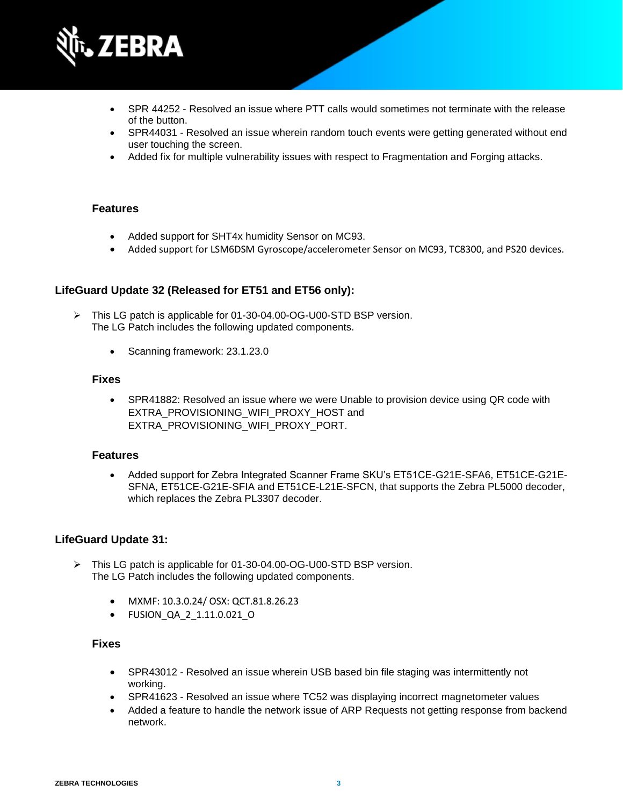

- SPR 44252 Resolved an issue where PTT calls would sometimes not terminate with the release of the button.
- SPR44031 Resolved an issue wherein random touch events were getting generated without end user touching the screen.
- Added fix for multiple vulnerability issues with respect to Fragmentation and Forging attacks.

- Added support for SHT4x humidity Sensor on MC93.
- Added support for LSM6DSM Gyroscope/accelerometer Sensor on MC93, TC8300, and PS20 devices.

#### **LifeGuard Update 32 (Released for ET51 and ET56 only):**

- ➢ This LG patch is applicable for 01-30-04.00-OG-U00-STD BSP version. The LG Patch includes the following updated components.
	- Scanning framework: 23.1.23.0

#### **Fixes**

• SPR41882: Resolved an issue where we were Unable to provision device using QR code with EXTRA\_PROVISIONING\_WIFI\_PROXY\_HOST and EXTRA\_PROVISIONING\_WIFI\_PROXY\_PORT.

#### **Features**

• Added support for Zebra Integrated Scanner Frame SKU's ET51CE-G21E-SFA6, ET51CE-G21E-SFNA, ET51CE-G21E-SFIA and ET51CE-L21E-SFCN, that supports the Zebra PL5000 decoder, which replaces the Zebra PL3307 decoder.

#### **LifeGuard Update 31:**

- ➢ This LG patch is applicable for 01-30-04.00-OG-U00-STD BSP version. The LG Patch includes the following updated components.
	- MXMF: 10.3.0.24/ OSX: QCT.81.8.26.23
	- FUSION\_QA\_2\_1.11.0.021\_O

- SPR43012 Resolved an issue wherein USB based bin file staging was intermittently not working.
- SPR41623 Resolved an issue where TC52 was displaying incorrect magnetometer values
- Added a feature to handle the network issue of ARP Requests not getting response from backend network.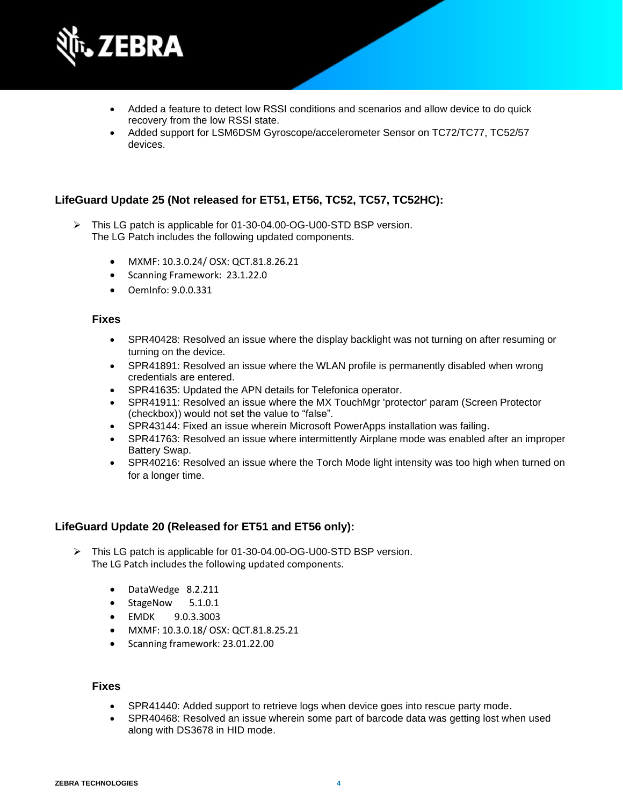

- Added a feature to detect low RSSI conditions and scenarios and allow device to do quick recovery from the low RSSI state.
- Added support for LSM6DSM Gyroscope/accelerometer Sensor on TC72/TC77, TC52/57 devices.

#### **LifeGuard Update 25 (Not released for ET51, ET56, TC52, TC57, TC52HC):**

- ➢ This LG patch is applicable for 01-30-04.00-OG-U00-STD BSP version. The LG Patch includes the following updated components.
	- MXMF: 10.3.0.24/ OSX: QCT.81.8.26.21
	- Scanning Framework: 23.1.22.0
	- OemInfo: 9.0.0.331

#### **Fixes**

- SPR40428: Resolved an issue where the display backlight was not turning on after resuming or turning on the device.
- SPR41891: Resolved an issue where the WLAN profile is permanently disabled when wrong credentials are entered.
- SPR41635: Updated the APN details for Telefonica operator.
- SPR41911: Resolved an issue where the MX TouchMgr 'protector' param (Screen Protector (checkbox)) would not set the value to "false".
- SPR43144: Fixed an issue wherein Microsoft PowerApps installation was failing.
- SPR41763: Resolved an issue where intermittently Airplane mode was enabled after an improper Battery Swap.
- SPR40216: Resolved an issue where the Torch Mode light intensity was too high when turned on for a longer time.

#### **LifeGuard Update 20 (Released for ET51 and ET56 only):**

- ➢ This LG patch is applicable for 01-30-04.00-OG-U00-STD BSP version. The LG Patch includes the following updated components.
	- DataWedge 8.2.211
	- StageNow 5.1.0.1
	- EMDK 9.0.3.3003
	- MXMF: 10.3.0.18/ OSX: QCT.81.8.25.21
	- Scanning framework: 23.01.22.00

- SPR41440: Added support to retrieve logs when device goes into rescue party mode.
- SPR40468: Resolved an issue wherein some part of barcode data was getting lost when used along with DS3678 in HID mode.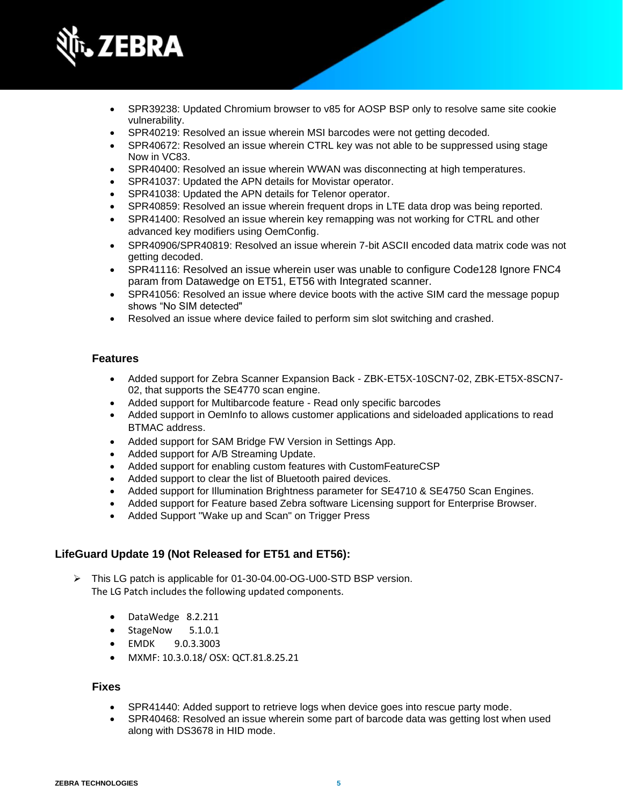

- SPR39238: Updated Chromium browser to v85 for AOSP BSP only to resolve same site cookie vulnerability.
- SPR40219: Resolved an issue wherein MSI barcodes were not getting decoded.
- SPR40672: Resolved an issue wherein CTRL key was not able to be suppressed using stage Now in VC83.
- SPR40400: Resolved an issue wherein WWAN was disconnecting at high temperatures.
- SPR41037: Updated the APN details for Movistar operator.
- SPR41038: Updated the APN details for Telenor operator.
- SPR40859: Resolved an issue wherein frequent drops in LTE data drop was being reported.
- SPR41400: Resolved an issue wherein key remapping was not working for CTRL and other advanced key modifiers using OemConfig.
- SPR40906/SPR40819: Resolved an issue wherein 7-bit ASCII encoded data matrix code was not getting decoded.
- SPR41116: Resolved an issue wherein user was unable to configure Code128 Ignore FNC4 param from Datawedge on ET51, ET56 with Integrated scanner.
- SPR41056: Resolved an issue where device boots with the active SIM card the message popup shows "No SIM detected"
- Resolved an issue where device failed to perform sim slot switching and crashed.

- Added support for Zebra Scanner Expansion Back ZBK-ET5X-10SCN7-02, ZBK-ET5X-8SCN7- 02, that supports the SE4770 scan engine.
- Added support for Multibarcode feature Read only specific barcodes
- Added support in OemInfo to allows customer applications and sideloaded applications to read BTMAC address.
- Added support for SAM Bridge FW Version in Settings App.
- Added support for A/B Streaming Update.
- Added support for enabling custom features with CustomFeatureCSP
- Added support to clear the list of Bluetooth paired devices.
- Added support for Illumination Brightness parameter for SE4710 & SE4750 Scan Engines.
- Added support for Feature based Zebra software Licensing support for Enterprise Browser.
- Added Support "Wake up and Scan" on Trigger Press

#### **LifeGuard Update 19 (Not Released for ET51 and ET56):**

- ➢ This LG patch is applicable for 01-30-04.00-OG-U00-STD BSP version. The LG Patch includes the following updated components.
	- DataWedge 8.2.211
	- StageNow 5.1.0.1
	- EMDK 9.0.3.3003
	- MXMF: 10.3.0.18/ OSX: QCT.81.8.25.21

- SPR41440: Added support to retrieve logs when device goes into rescue party mode.
- SPR40468: Resolved an issue wherein some part of barcode data was getting lost when used along with DS3678 in HID mode.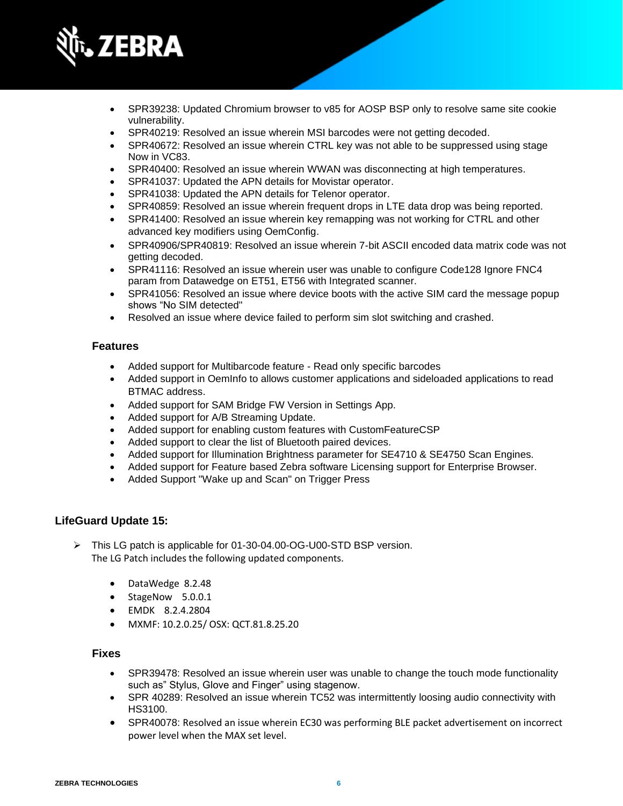

- SPR39238: Updated Chromium browser to v85 for AOSP BSP only to resolve same site cookie vulnerability.
- SPR40219: Resolved an issue wherein MSI barcodes were not getting decoded.
- SPR40672: Resolved an issue wherein CTRL key was not able to be suppressed using stage Now in VC83.
- SPR40400: Resolved an issue wherein WWAN was disconnecting at high temperatures.
- SPR41037: Updated the APN details for Movistar operator.
- SPR41038: Updated the APN details for Telenor operator.
- SPR40859: Resolved an issue wherein frequent drops in LTE data drop was being reported.
- SPR41400: Resolved an issue wherein key remapping was not working for CTRL and other advanced key modifiers using OemConfig.
- SPR40906/SPR40819: Resolved an issue wherein 7-bit ASCII encoded data matrix code was not getting decoded.
- SPR41116: Resolved an issue wherein user was unable to configure Code128 Ignore FNC4 param from Datawedge on ET51, ET56 with Integrated scanner.
- SPR41056: Resolved an issue where device boots with the active SIM card the message popup shows "No SIM detected"
- Resolved an issue where device failed to perform sim slot switching and crashed.

- Added support for Multibarcode feature Read only specific barcodes
- Added support in OemInfo to allows customer applications and sideloaded applications to read BTMAC address.
- Added support for SAM Bridge FW Version in Settings App.
- Added support for A/B Streaming Update.
- Added support for enabling custom features with CustomFeatureCSP
- Added support to clear the list of Bluetooth paired devices.
- Added support for Illumination Brightness parameter for SE4710 & SE4750 Scan Engines.
- Added support for Feature based Zebra software Licensing support for Enterprise Browser.
- Added Support "Wake up and Scan" on Trigger Press

#### **LifeGuard Update 15:**

- ➢ This LG patch is applicable for 01-30-04.00-OG-U00-STD BSP version. The LG Patch includes the following updated components.
	- DataWedge 8.2.48
	- StageNow 5.0.0.1
	- EMDK 8.2.4.2804
	- MXMF: 10.2.0.25/ OSX: QCT.81.8.25.20

- SPR39478: Resolved an issue wherein user was unable to change the touch mode functionality such as" Stylus, Glove and Finger" using stagenow.
- SPR 40289: Resolved an issue wherein TC52 was intermittently loosing audio connectivity with HS3100.
- SPR40078: Resolved an issue wherein EC30 was performing BLE packet advertisement on incorrect power level when the MAX set level.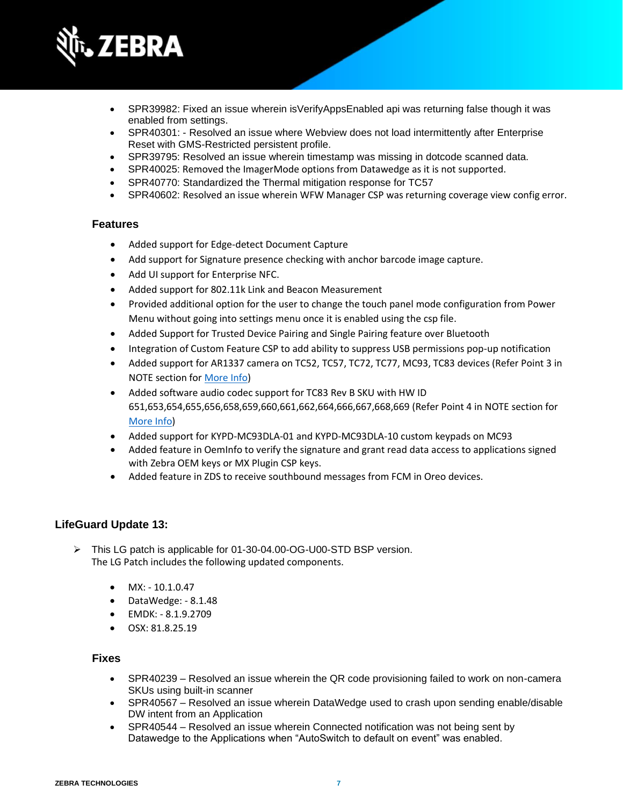

- SPR39982: Fixed an issue wherein isVerifyAppsEnabled api was returning false though it was enabled from settings.
- SPR40301: Resolved an issue where Webview does not load intermittently after Enterprise Reset with GMS-Restricted persistent profile.
- SPR39795: Resolved an issue wherein timestamp was missing in dotcode scanned data.
- SPR40025: Removed the ImagerMode options from Datawedge as it is not supported.
- SPR40770: Standardized the Thermal mitigation response for TC57
- SPR40602: Resolved an issue wherein WFW Manager CSP was returning coverage view config error.

- Added support for Edge-detect Document Capture
- Add support for Signature presence checking with anchor barcode image capture.
- Add UI support for Enterprise NFC.
- Added support for 802.11k Link and Beacon Measurement
- Provided additional option for the user to change the touch panel mode configuration from Power Menu without going into settings menu once it is enabled using the csp file.
- Added Support for Trusted Device Pairing and Single Pairing feature over Bluetooth
- Integration of Custom Feature CSP to add ability to suppress USB permissions pop-up notification
- Added support for AR1337 camera on TC52, TC57, TC72, TC77, MC93, TC83 devices (Refer Point 3 in NOTE section fo[r More Info\)](#page-11-0)
- Added software audio codec support for TC83 Rev B SKU with HW ID 651,653,654,655,656,658,659,660,661,662,664,666,667,668,669 (Refer Point 4 in NOTE section for [More Info\)](#page-11-0)
- Added support for KYPD-MC93DLA-01 and KYPD-MC93DLA-10 custom keypads on MC93
- Added feature in OemInfo to verify the signature and grant read data access to applications signed with Zebra OEM keys or MX Plugin CSP keys.
- Added feature in ZDS to receive southbound messages from FCM in Oreo devices.

#### **LifeGuard Update 13:**

- ➢ This LG patch is applicable for 01-30-04.00-OG-U00-STD BSP version. The LG Patch includes the following updated components.
	- $\bullet$  MX: 10.1.0.47
	- DataWedge: 8.1.48
	- EMDK: 8.1.9.2709
	- OSX: 81.8.25.19

- SPR40239 Resolved an issue wherein the QR code provisioning failed to work on non-camera SKUs using built-in scanner
- SPR40567 Resolved an issue wherein DataWedge used to crash upon sending enable/disable DW intent from an Application
- SPR40544 Resolved an issue wherein Connected notification was not being sent by Datawedge to the Applications when "AutoSwitch to default on event" was enabled.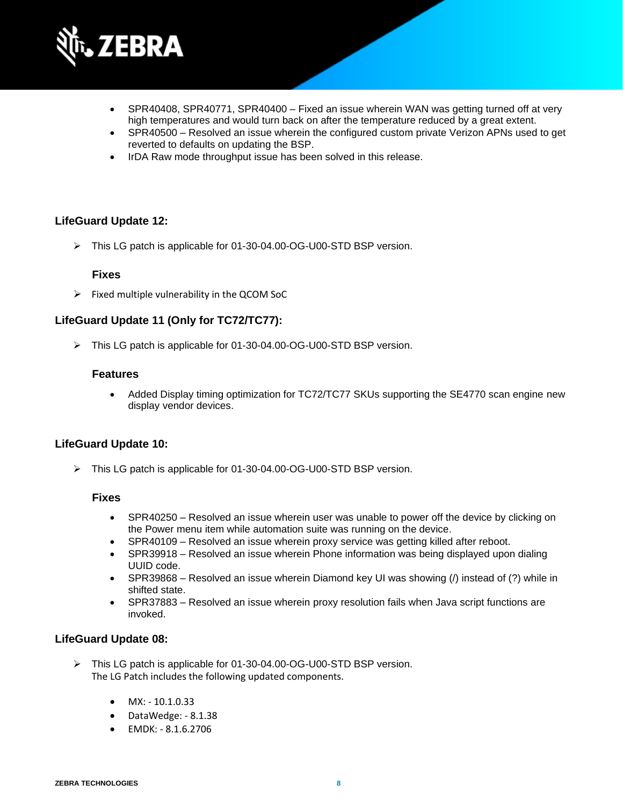

- SPR40408, SPR40771, SPR40400 Fixed an issue wherein WAN was getting turned off at very high temperatures and would turn back on after the temperature reduced by a great extent.
- SPR40500 Resolved an issue wherein the configured custom private Verizon APNs used to get reverted to defaults on updating the BSP.
- IrDA Raw mode throughput issue has been solved in this release.

#### **LifeGuard Update 12:**

➢ This LG patch is applicable for 01-30-04.00-OG-U00-STD BSP version.

#### **Fixes**

 $\triangleright$  Fixed multiple vulnerability in the QCOM SoC

#### **LifeGuard Update 11 (Only for TC72/TC77):**

➢ This LG patch is applicable for 01-30-04.00-OG-U00-STD BSP version.

#### **Features**

• Added Display timing optimization for TC72/TC77 SKUs supporting the SE4770 scan engine new display vendor devices.

#### **LifeGuard Update 10:**

➢ This LG patch is applicable for 01-30-04.00-OG-U00-STD BSP version.

#### **Fixes**

- SPR40250 Resolved an issue wherein user was unable to power off the device by clicking on the Power menu item while automation suite was running on the device.
- SPR40109 Resolved an issue wherein proxy service was getting killed after reboot.
- SPR39918 Resolved an issue wherein Phone information was being displayed upon dialing UUID code.
- SPR39868 Resolved an issue wherein Diamond key UI was showing (*/*) instead of (?) while in shifted state.
- SPR37883 Resolved an issue wherein proxy resolution fails when Java script functions are invoked.

#### **LifeGuard Update 08:**

- ➢ This LG patch is applicable for 01-30-04.00-OG-U00-STD BSP version. The LG Patch includes the following updated components.
	- $MX: -10.1.0.33$
	- DataWedge: 8.1.38
	- EMDK: 8.1.6.2706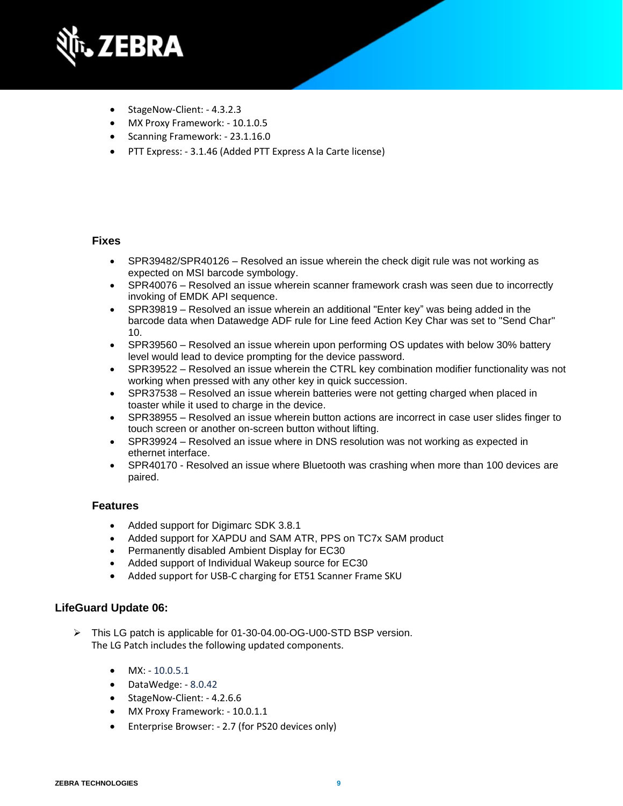

- StageNow-Client: 4.3.2.3
- MX Proxy Framework: 10.1.0.5
- Scanning Framework: 23.1.16.0
- PTT Express: 3.1.46 (Added PTT Express A la Carte license)

#### **Fixes**

- SPR39482/SPR40126 Resolved an issue wherein the check digit rule was not working as expected on MSI barcode symbology.
- SPR40076 Resolved an issue wherein scanner framework crash was seen due to incorrectly invoking of EMDK API sequence.
- SPR39819 Resolved an issue wherein an additional "Enter key" was being added in the barcode data when Datawedge ADF rule for Line feed Action Key Char was set to "Send Char" 10.
- SPR39560 Resolved an issue wherein upon performing OS updates with below 30% battery level would lead to device prompting for the device password.
- SPR39522 Resolved an issue wherein the CTRL key combination modifier functionality was not working when pressed with any other key in quick succession.
- SPR37538 Resolved an issue wherein batteries were not getting charged when placed in toaster while it used to charge in the device.
- SPR38955 Resolved an issue wherein button actions are incorrect in case user slides finger to touch screen or another on-screen button without lifting.
- SPR39924 Resolved an issue where in DNS resolution was not working as expected in ethernet interface.
- SPR40170 Resolved an issue where Bluetooth was crashing when more than 100 devices are paired.

#### **Features**

- Added support for Digimarc SDK 3.8.1
- Added support for XAPDU and SAM ATR, PPS on TC7x SAM product
- Permanently disabled Ambient Display for EC30
- Added support of Individual Wakeup source for EC30
- Added support for USB-C charging for ET51 Scanner Frame SKU

#### **LifeGuard Update 06:**

- ➢ This LG patch is applicable for 01-30-04.00-OG-U00-STD BSP version. The LG Patch includes the following updated components.
	- $MX: -10.0.5.1$
	- DataWedge: 8.0.42
	- StageNow-Client: 4.2.6.6
	- MX Proxy Framework: 10.0.1.1
	- Enterprise Browser: 2.7 (for PS20 devices only)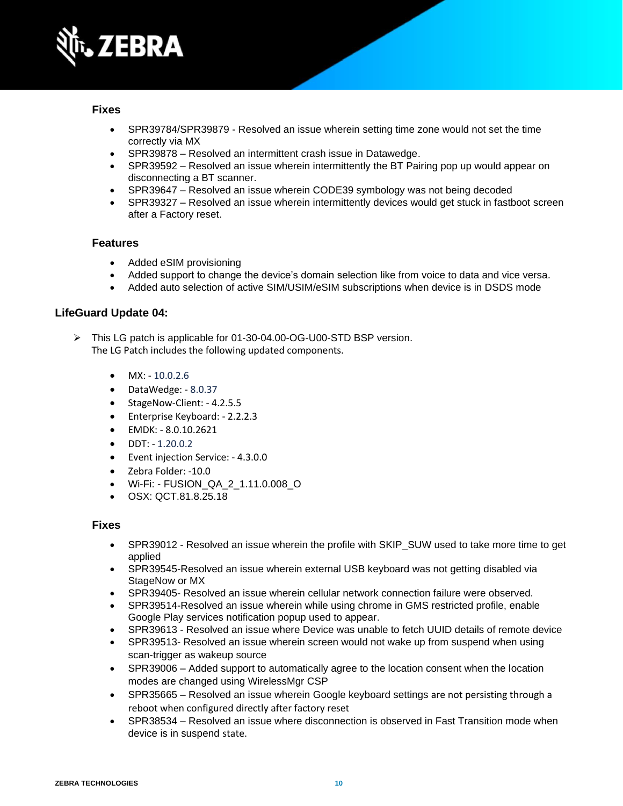

#### **Fixes**

- SPR39784/SPR39879 Resolved an issue wherein setting time zone would not set the time correctly via MX
- SPR39878 Resolved an intermittent crash issue in Datawedge.
- SPR39592 Resolved an issue wherein intermittently the BT Pairing pop up would appear on disconnecting a BT scanner.
- SPR39647 Resolved an issue wherein CODE39 symbology was not being decoded
- SPR39327 Resolved an issue wherein intermittently devices would get stuck in fastboot screen after a Factory reset.

#### **Features**

- Added eSIM provisioning
- Added support to change the device's domain selection like from voice to data and vice versa.
- Added auto selection of active SIM/USIM/eSIM subscriptions when device is in DSDS mode

#### **LifeGuard Update 04:**

- ➢ This LG patch is applicable for 01-30-04.00-OG-U00-STD BSP version. The LG Patch includes the following updated components.
	- $MX: -10.0.2.6$
	- DataWedge: 8.0.37
	- StageNow-Client: 4.2.5.5
	- Enterprise Keyboard: 2.2.2.3
	- EMDK: 8.0.10.2621
	- DDT: 1.20.0.2
	- Event injection Service: 4.3.0.0
	- Zebra Folder: -10.0
	- Wi-Fi: FUSION\_QA\_2\_1.11.0.008\_O
	- OSX: QCT.81.8.25.18

- SPR39012 Resolved an issue wherein the profile with SKIP\_SUW used to take more time to get applied
- SPR39545-Resolved an issue wherein external USB keyboard was not getting disabled via StageNow or MX
- SPR39405- Resolved an issue wherein cellular network connection failure were observed.
- SPR39514-Resolved an issue wherein while using chrome in GMS restricted profile, enable Google Play services notification popup used to appear.
- SPR39613 Resolved an issue where Device was unable to fetch UUID details of remote device
- SPR39513- Resolved an issue wherein screen would not wake up from suspend when using scan-trigger as wakeup source
- SPR39006 Added support to automatically agree to the location consent when the location modes are changed using WirelessMgr CSP
- SPR35665 Resolved an issue wherein Google keyboard settings are not persisting through a reboot when configured directly after factory reset
- SPR38534 Resolved an issue where disconnection is observed in Fast Transition mode when device is in suspend state.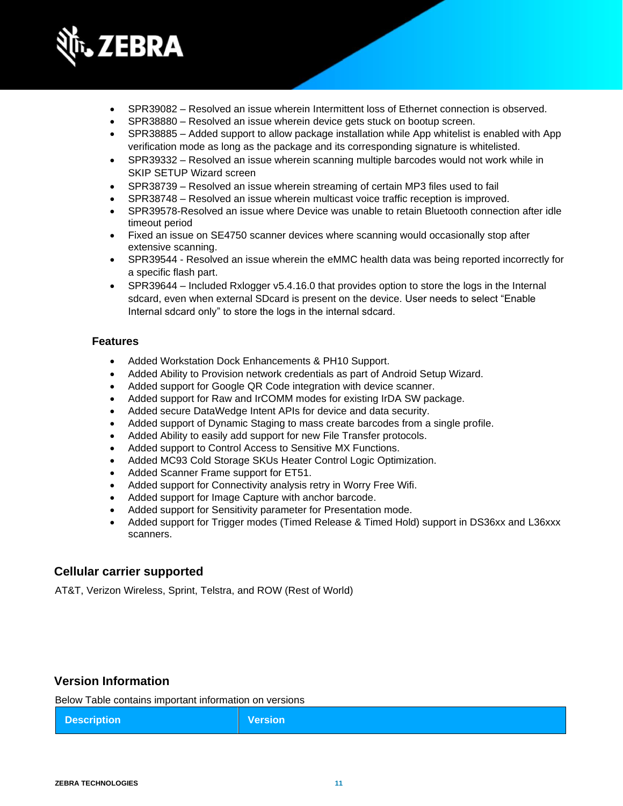

- SPR39082 Resolved an issue wherein Intermittent loss of Ethernet connection is observed.
- SPR38880 Resolved an issue wherein device gets stuck on bootup screen.
- SPR38885 Added support to allow package installation while App whitelist is enabled with App verification mode as long as the package and its corresponding signature is whitelisted.
- SPR39332 Resolved an issue wherein scanning multiple barcodes would not work while in SKIP SETUP Wizard screen
- SPR38739 Resolved an issue wherein streaming of certain MP3 files used to fail
- SPR38748 Resolved an issue wherein multicast voice traffic reception is improved.
- SPR39578-Resolved an issue where Device was unable to retain Bluetooth connection after idle timeout period
- Fixed an issue on SE4750 scanner devices where scanning would occasionally stop after extensive scanning.
- SPR39544 Resolved an issue wherein the eMMC health data was being reported incorrectly for a specific flash part.
- SPR39644 Included Rxlogger v5.4.16.0 that provides option to store the logs in the Internal sdcard, even when external SDcard is present on the device. User needs to select "Enable Internal sdcard only" to store the logs in the internal sdcard.

- Added Workstation Dock Enhancements & PH10 Support.
- Added Ability to Provision network credentials as part of Android Setup Wizard.
- Added support for Google QR Code integration with device scanner.
- Added support for Raw and IrCOMM modes for existing IrDA SW package.
- Added secure DataWedge Intent APIs for device and data security.
- Added support of Dynamic Staging to mass create barcodes from a single profile.
- Added Ability to easily add support for new File Transfer protocols.
- Added support to Control Access to Sensitive MX Functions.
- Added MC93 Cold Storage SKUs Heater Control Logic Optimization.
- Added Scanner Frame support for ET51.
- Added support for Connectivity analysis retry in Worry Free Wifi.
- Added support for Image Capture with anchor barcode.
- Added support for Sensitivity parameter for Presentation mode.
- Added support for Trigger modes (Timed Release & Timed Hold) support in DS36xx and L36xxx scanners.

### **Cellular carrier supported**

AT&T, Verizon Wireless, Sprint, Telstra, and ROW (Rest of World)

## **Version Information**

Below Table contains important information on versions

|--|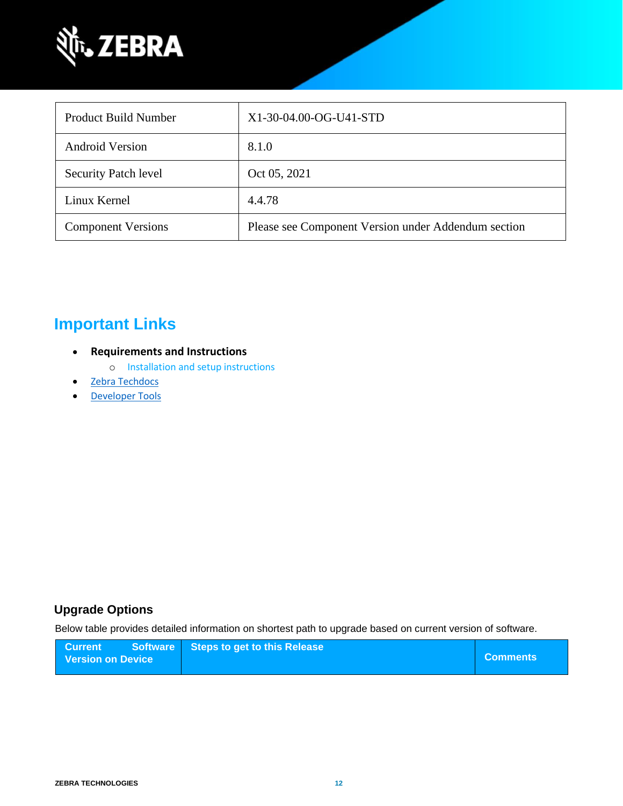

| <b>Product Build Number</b> | $X1-30-04.00-OG-U41-STD$                            |
|-----------------------------|-----------------------------------------------------|
| <b>Android Version</b>      | 8.1.0                                               |
| <b>Security Patch level</b> | Oct 05, 2021                                        |
| Linux Kernel                | 4.4.78                                              |
| <b>Component Versions</b>   | Please see Component Version under Addendum section |

## **Important Links**

- **Requirements and Instructions** 
	- o [Installation and setup instructions](https://www.zebra.com/content/dam/zebra_new_ia/en-us/software/operating-system/helios/oreo-os-update-instructions.pdf)
- **[Zebra Techdocs](https://techdocs.zebra.com/)**
- [Developer Tools](https://developer.zebra.com/)

## <span id="page-11-0"></span>**Upgrade Options**

Below table provides detailed information on shortest path to upgrade based on current version of software.

| <b>Current</b>    | Software Steps to get to this Release |                 |
|-------------------|---------------------------------------|-----------------|
| Version on Device |                                       | <b>Comments</b> |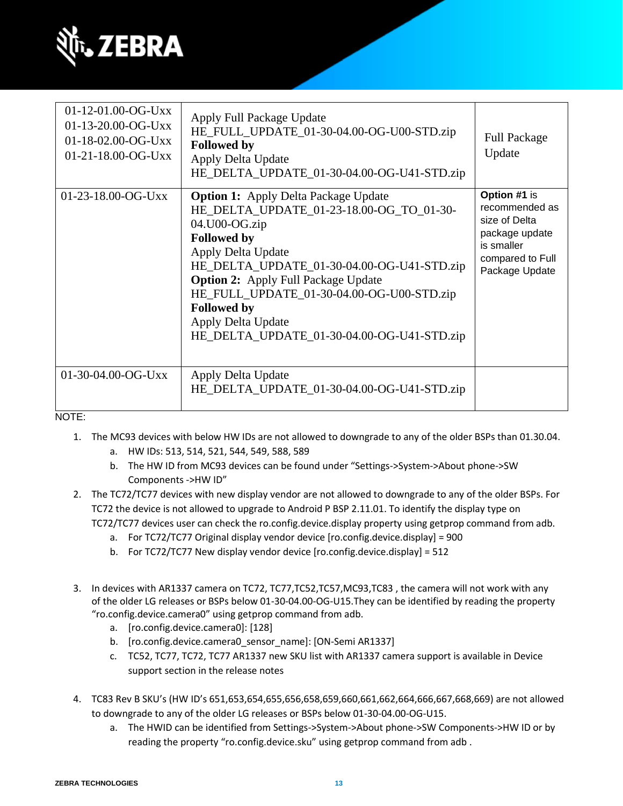

| $01-12-01.00-OG-Uxx$<br>$01-13-20.00-OG-Uxx$<br>01-18-02.00-OG-Uxx<br>$01-21-18.00-OG-Uxx$ | Apply Full Package Update<br>HE_FULL_UPDATE_01-30-04.00-OG-U00-STD.zip<br><b>Followed by</b><br>Apply Delta Update<br>HE_DELTA_UPDATE_01-30-04.00-OG-U41-STD.zip                                                                                                                                                                                                                        | <b>Full Package</b><br>Update                                                                                         |
|--------------------------------------------------------------------------------------------|-----------------------------------------------------------------------------------------------------------------------------------------------------------------------------------------------------------------------------------------------------------------------------------------------------------------------------------------------------------------------------------------|-----------------------------------------------------------------------------------------------------------------------|
| $01-23-18.00-OG-Uxx$                                                                       | <b>Option 1:</b> Apply Delta Package Update<br>HE_DELTA_UPDATE_01-23-18.00-OG_TO_01-30-<br>04.U00-OG.zip<br><b>Followed by</b><br>Apply Delta Update<br>HE_DELTA_UPDATE_01-30-04.00-OG-U41-STD.zip<br><b>Option 2:</b> Apply Full Package Update<br>HE_FULL_UPDATE_01-30-04.00-OG-U00-STD.zip<br><b>Followed by</b><br>Apply Delta Update<br>HE_DELTA_UPDATE_01-30-04.00-OG-U41-STD.zip | Option #1 is<br>recommended as<br>size of Delta<br>package update<br>is smaller<br>compared to Full<br>Package Update |
| 01-30-04.00-OG-Uxx                                                                         | Apply Delta Update<br>HE_DELTA_UPDATE_01-30-04.00-OG-U41-STD.zip                                                                                                                                                                                                                                                                                                                        |                                                                                                                       |

NOTE:

- 1. The MC93 devices with below HW IDs are not allowed to downgrade to any of the older BSPs than 01.30.04.
	- a. HW IDs: 513, 514, 521, 544, 549, 588, 589
	- b. The HW ID from MC93 devices can be found under "Settings->System->About phone->SW Components ->HW ID"
- 2. The TC72/TC77 devices with new display vendor are not allowed to downgrade to any of the older BSPs. For TC72 the device is not allowed to upgrade to Android P BSP 2.11.01. To identify the display type on TC72/TC77 devices user can check the ro.config.device.display property using getprop command from adb.
	- a. For TC72/TC77 Original display vendor device [ro.config.device.display] = 900
	- b. For TC72/TC77 New display vendor device [ro.config.device.display] = 512
- 3. In devices with AR1337 camera on TC72, TC77,TC52,TC57,MC93,TC83 , the camera will not work with any of the older LG releases or BSPs below 01-30-04.00-OG-U15.They can be identified by reading the property "ro.config.device.camera0" using getprop command from adb.
	- a. [ro.config.device.camera0]: [128]
	- b. [ro.config.device.camera0\_sensor\_name]: [ON-Semi AR1337]
	- c. TC52, TC77, TC72, TC77 AR1337 new SKU list with AR1337 camera support is available in Device support section in the release notes
- 4. TC83 Rev B SKU's (HW ID's 651,653,654,655,656,658,659,660,661,662,664,666,667,668,669) are not allowed to downgrade to any of the older LG releases or BSPs below 01-30-04.00-OG-U15.
	- a. The HWID can be identified from Settings->System->About phone->SW Components->HW ID or by reading the property "ro.config.device.sku" using getprop command from adb .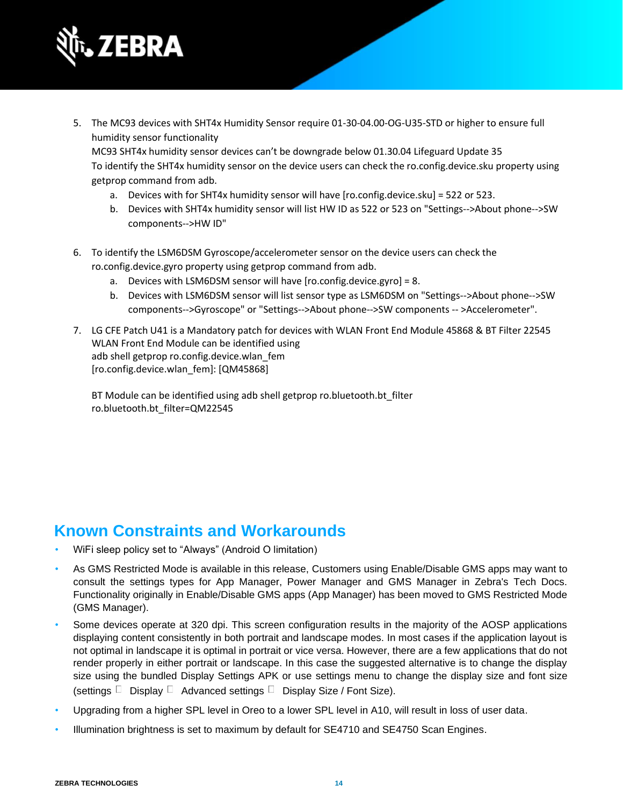

- 5. The MC93 devices with SHT4x Humidity Sensor require 01-30-04.00-OG-U35-STD or higher to ensure full humidity sensor functionality MC93 SHT4x humidity sensor devices can't be downgrade below 01.30.04 Lifeguard Update 35 To identify the SHT4x humidity sensor on the device users can check the ro.config.device.sku property using getprop command from adb.
	- a. Devices with for SHT4x humidity sensor will have [ro.config.device.sku] = 522 or 523.
	- b. Devices with SHT4x humidity sensor will list HW ID as 522 or 523 on "Settings-->About phone-->SW components-->HW ID"
- 6. To identify the LSM6DSM Gyroscope/accelerometer sensor on the device users can check the ro.config.device.gyro property using getprop command from adb.
	- a. Devices with LSM6DSM sensor will have [ro.config.device.gyro] = 8.
	- b. Devices with LSM6DSM sensor will list sensor type as LSM6DSM on "Settings-->About phone-->SW components-->Gyroscope" or "Settings-->About phone-->SW components -- >Accelerometer".
- 7. LG CFE Patch U41 is a Mandatory patch for devices with WLAN Front End Module 45868 & BT Filter 22545 WLAN Front End Module can be identified using adb shell getprop ro.config.device.wlan\_fem [ro.config.device.wlan\_fem]: [QM45868]

BT Module can be identified using adb shell getprop ro.bluetooth.bt\_filter ro.bluetooth.bt\_filter=QM22545

## **Known Constraints and Workarounds**

- WiFi sleep policy set to "Always" (Android O limitation)
- As GMS Restricted Mode is available in this release, Customers using Enable/Disable GMS apps may want to consult the settings types for App Manager, Power Manager and GMS Manager in Zebra's Tech Docs. Functionality originally in Enable/Disable GMS apps (App Manager) has been moved to GMS Restricted Mode (GMS Manager).
- Some devices operate at 320 dpi. This screen configuration results in the majority of the AOSP applications displaying content consistently in both portrait and landscape modes. In most cases if the application layout is not optimal in landscape it is optimal in portrait or vice versa. However, there are a few applications that do not render properly in either portrait or landscape. In this case the suggested alternative is to change the display size using the bundled Display Settings APK or use settings menu to change the display size and font size (settings  $\Box$  Display  $\Box$  Advanced settings  $\Box$  Display Size / Font Size).
- Upgrading from a higher SPL level in Oreo to a lower SPL level in A10, will result in loss of user data.
- Illumination brightness is set to maximum by default for SE4710 and SE4750 Scan Engines.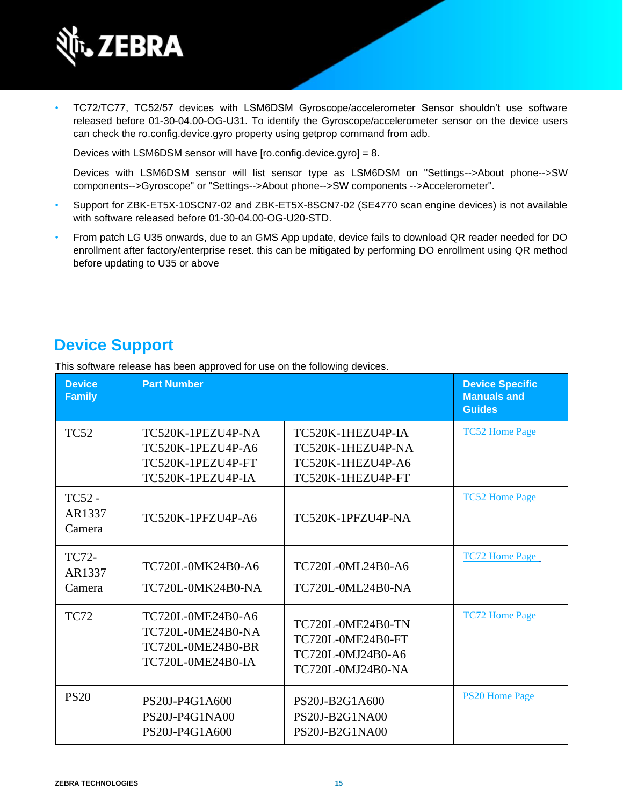

• TC72/TC77, TC52/57 devices with LSM6DSM Gyroscope/accelerometer Sensor shouldn't use software released before 01-30-04.00-OG-U31. To identify the Gyroscope/accelerometer sensor on the device users can check the ro.config.device.gyro property using getprop command from adb.

Devices with LSM6DSM sensor will have [ro.config.device.gyro] = 8.

Devices with LSM6DSM sensor will list sensor type as LSM6DSM on "Settings-->About phone-->SW components-->Gyroscope" or "Settings-->About phone-->SW components -->Accelerometer".

- Support for ZBK-ET5X-10SCN7-02 and ZBK-ET5X-8SCN7-02 (SE4770 scan engine devices) is not available with software released before 01-30-04.00-OG-U20-STD.
- From patch LG U35 onwards, due to an GMS App update, device fails to download QR reader needed for DO enrollment after factory/enterprise reset. this can be mitigated by performing DO enrollment using QR method before updating to U35 or above

## **Device Support**

This software release has been approved for use on the following devices.

| <b>Device</b><br><b>Family</b>    | <b>Part Number</b>                                                               |                                                                                         | <b>Device Specific</b><br><b>Manuals and</b><br><b>Guides</b> |
|-----------------------------------|----------------------------------------------------------------------------------|-----------------------------------------------------------------------------------------|---------------------------------------------------------------|
| <b>TC52</b>                       | TC520K-1PEZU4P-NA<br>TC520K-1PEZU4P-A6<br>TC520K-1PEZU4P-FT<br>TC520K-1PEZU4P-IA | TC520K-1HEZU4P-IA<br>TC520K-1HEZU4P-NA<br>TC520K-1HEZU4P-A6<br>TC520K-1HEZU4P-FT        | <b>TC52 Home Page</b>                                         |
| <b>TC52 -</b><br>AR1337<br>Camera | TC520K-1PFZU4P-A6                                                                | TC520K-1PFZU4P-NA                                                                       | <b>TC52 Home Page</b>                                         |
| TC72-<br>AR1337<br>Camera         | TC720L-0MK24B0-A6<br>TC720L-0MK24B0-NA                                           | TC720L-0ML24B0-A6<br><b>TC720L-0ML24B0-NA</b>                                           | <b>TC72 Home Page</b>                                         |
| <b>TC72</b>                       | TC720L-0ME24B0-A6<br>TC720L-0ME24B0-NA<br>TC720L-0ME24B0-BR<br>TC720L-0ME24B0-IA | <b>TC720L-0ME24B0-TN</b><br>TC720L-0ME24B0-FT<br>TC720L-0MJ24B0-A6<br>TC720L-0MJ24B0-NA | <b>TC72 Home Page</b>                                         |
| <b>PS20</b>                       | PS20J-P4G1A600<br>PS20J-P4G1NA00<br>PS20J-P4G1A600                               | PS20J-B2G1A600<br>PS20J-B2G1NA00<br>PS20J-B2G1NA00                                      | <b>PS20 Home Page</b>                                         |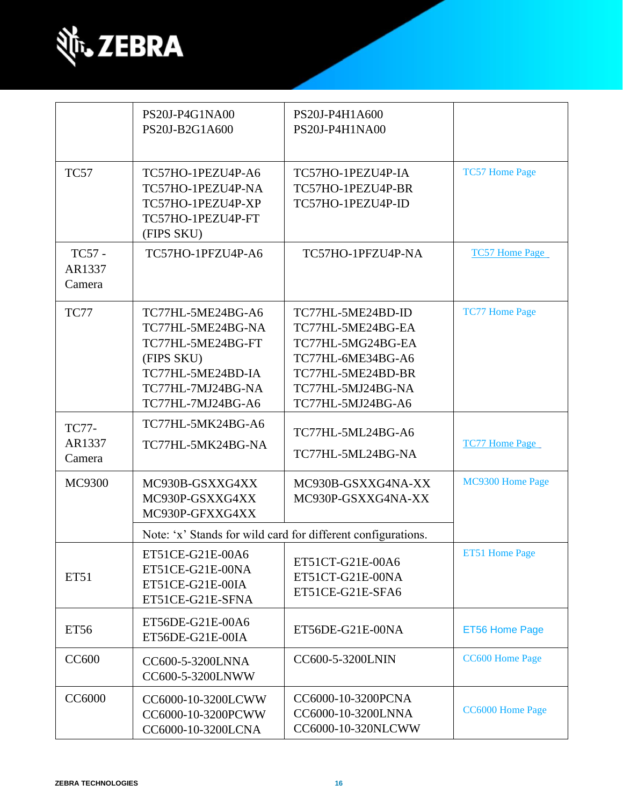

|                                  | PS20J-P4G1NA00<br>PS20J-B2G1A600                                                                                                         | PS20J-P4H1A600<br>PS20J-P4H1NA00                                                                                                                |                       |
|----------------------------------|------------------------------------------------------------------------------------------------------------------------------------------|-------------------------------------------------------------------------------------------------------------------------------------------------|-----------------------|
| <b>TC57</b>                      | TC57HO-1PEZU4P-A6<br>TC57HO-1PEZU4P-NA<br>TC57HO-1PEZU4P-XP<br>TC57HO-1PEZU4P-FT<br>(FIPS SKU)                                           | TC57HO-1PEZU4P-IA<br>TC57HO-1PEZU4P-BR<br>TC57HO-1PEZU4P-ID                                                                                     | <b>TC57 Home Page</b> |
| TC57 -<br>AR1337<br>Camera       | TC57HO-1PFZU4P-A6                                                                                                                        | TC57HO-1PFZU4P-NA                                                                                                                               | <b>TC57 Home Page</b> |
| <b>TC77</b>                      | TC77HL-5ME24BG-A6<br>TC77HL-5ME24BG-NA<br>TC77HL-5ME24BG-FT<br>(FIPS SKU)<br>TC77HL-5ME24BD-IA<br>TC77HL-7MJ24BG-NA<br>TC77HL-7MJ24BG-A6 | TC77HL-5ME24BD-ID<br>TC77HL-5ME24BG-EA<br>TC77HL-5MG24BG-EA<br>TC77HL-6ME34BG-A6<br>TC77HL-5ME24BD-BR<br>TC77HL-5MJ24BG-NA<br>TC77HL-5MJ24BG-A6 | <b>TC77 Home Page</b> |
| <b>TC77-</b><br>AR1337<br>Camera | TC77HL-5MK24BG-A6<br>TC77HL-5MK24BG-NA                                                                                                   | TC77HL-5ML24BG-A6<br>TC77HL-5ML24BG-NA                                                                                                          | <b>TC77 Home Page</b> |
| MC9300                           | MC930B-GSXXG4XX<br>MC930P-GSXXG4XX<br>MC930P-GFXXG4XX                                                                                    | MC930B-GSXXG4NA-XX<br>MC930P-GSXXG4NA-XX                                                                                                        | MC9300 Home Page      |
|                                  |                                                                                                                                          | Note: 'x' Stands for wild card for different configurations.                                                                                    |                       |
| ET51                             | ET51CE-G21E-00A6<br>ET51CE-G21E-00NA<br>ET51CE-G21E-00IA<br>ET51CE-G21E-SFNA                                                             | ET51CT-G21E-00A6<br>ET51CT-G21E-00NA<br>ET51CE-G21E-SFA6                                                                                        | ET51 Home Page        |
| ET56                             | ET56DE-G21E-00A6<br>ET56DE-G21E-00IA                                                                                                     | ET56DE-G21E-00NA                                                                                                                                | ET56 Home Page        |
| <b>CC600</b>                     | CC600-5-3200LNNA<br>CC600-5-3200LNWW                                                                                                     | CC600-5-3200LNIN                                                                                                                                | CC600 Home Page       |
| <b>CC6000</b>                    | CC6000-10-3200LCWW<br>CC6000-10-3200PCWW<br>CC6000-10-3200LCNA                                                                           | CC6000-10-3200PCNA<br>CC6000-10-3200LNNA<br>CC6000-10-320NLCWW                                                                                  | CC6000 Home Page      |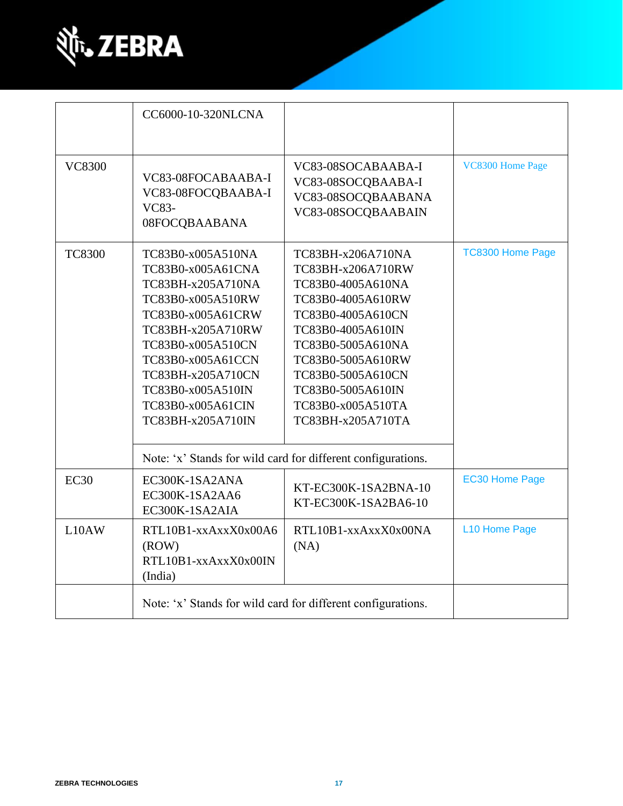

|               | CC6000-10-320NLCNA                                                                                                                                                                                                                                       |                                                                                                                                                                                                                                                                                                                          |                         |
|---------------|----------------------------------------------------------------------------------------------------------------------------------------------------------------------------------------------------------------------------------------------------------|--------------------------------------------------------------------------------------------------------------------------------------------------------------------------------------------------------------------------------------------------------------------------------------------------------------------------|-------------------------|
| <b>VC8300</b> | VC83-08FOCABAABA-I<br>VC83-08FOCQBAABA-I<br>VC83-<br>08FOCQBAABANA                                                                                                                                                                                       | VC83-08SOCABAABA-I<br>VC83-08SOCQBAABA-I<br>VC83-08SOCQBAABANA<br>VC83-08SOCQBAABAIN                                                                                                                                                                                                                                     | VC8300 Home Page        |
| <b>TC8300</b> | TC83B0-x005A510NA<br>TC83B0-x005A61CNA<br>TC83BH-x205A710NA<br>TC83B0-x005A510RW<br>TC83B0-x005A61CRW<br>TC83BH-x205A710RW<br>TC83B0-x005A510CN<br>TC83B0-x005A61CCN<br>TC83BH-x205A710CN<br>TC83B0-x005A510IN<br>TC83B0-x005A61CIN<br>TC83BH-x205A710IN | TC83BH-x206A710NA<br>TC83BH-x206A710RW<br>TC83B0-4005A610NA<br>TC83B0-4005A610RW<br>TC83B0-4005A610CN<br>TC83B0-4005A610IN<br>TC83B0-5005A610NA<br>TC83B0-5005A610RW<br>TC83B0-5005A610CN<br>TC83B0-5005A610IN<br>TC83B0-x005A510TA<br>TC83BH-x205A710TA<br>Note: 'x' Stands for wild card for different configurations. | <b>TC8300 Home Page</b> |
| <b>EC30</b>   | EC300K-1SA2ANA<br>EC300K-1SA2AA6<br>EC300K-1SA2AIA                                                                                                                                                                                                       | KT-EC300K-1SA2BNA-10<br>KT-EC300K-1SA2BA6-10                                                                                                                                                                                                                                                                             | <b>EC30 Home Page</b>   |
| L10AW         | RTL10B1-xxAxxX0x00A6<br>(ROW)<br>RTL10B1-xxAxxX0x00IN<br>(India)                                                                                                                                                                                         | RTL10B1-xxAxxX0x00NA<br>(NA)                                                                                                                                                                                                                                                                                             | L10 Home Page           |
|               |                                                                                                                                                                                                                                                          | Note: 'x' Stands for wild card for different configurations.                                                                                                                                                                                                                                                             |                         |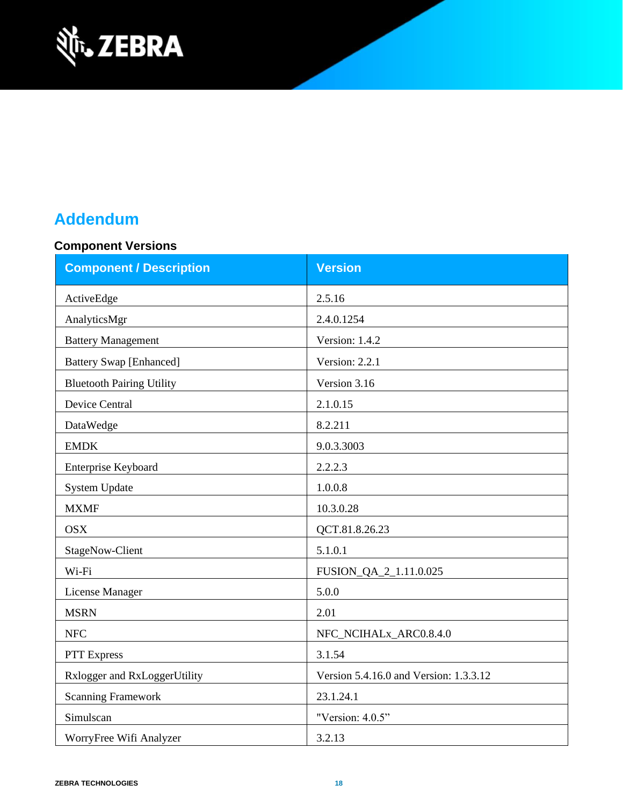

# **Addendum**

## **Component Versions**

| <b>Component / Description</b>   | <b>Version</b>                         |  |
|----------------------------------|----------------------------------------|--|
| ActiveEdge                       | 2.5.16                                 |  |
| AnalyticsMgr                     | 2.4.0.1254                             |  |
| <b>Battery Management</b>        | Version: 1.4.2                         |  |
| <b>Battery Swap [Enhanced]</b>   | Version: 2.2.1                         |  |
| <b>Bluetooth Pairing Utility</b> | Version 3.16                           |  |
| <b>Device Central</b>            | 2.1.0.15                               |  |
| DataWedge                        | 8.2.211                                |  |
| <b>EMDK</b>                      | 9.0.3.3003                             |  |
| Enterprise Keyboard              | 2.2.2.3                                |  |
| <b>System Update</b>             | 1.0.0.8                                |  |
| <b>MXMF</b>                      | 10.3.0.28                              |  |
| <b>OSX</b>                       | QCT.81.8.26.23                         |  |
| StageNow-Client                  | 5.1.0.1                                |  |
| Wi-Fi                            | FUSION_QA_2_1.11.0.025                 |  |
| License Manager                  | 5.0.0                                  |  |
| <b>MSRN</b>                      | 2.01                                   |  |
| <b>NFC</b>                       | NFC_NCIHALx_ARC0.8.4.0                 |  |
| <b>PTT</b> Express               | 3.1.54                                 |  |
| Rxlogger and RxLoggerUtility     | Version 5.4.16.0 and Version: 1.3.3.12 |  |
| <b>Scanning Framework</b>        | 23.1.24.1                              |  |
| Simulscan                        | "Version: 4.0.5"                       |  |
| WorryFree Wifi Analyzer          | 3.2.13                                 |  |